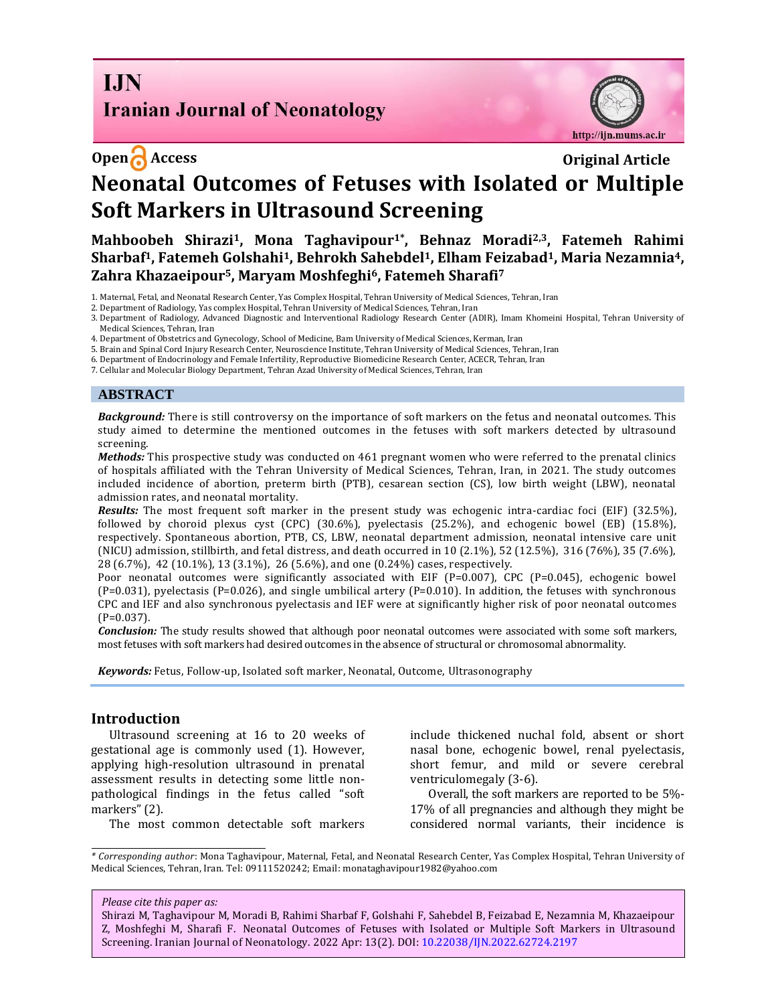**I.IN Iranian Journal of Neonatology** 



# **Open Access Original Article Neonatal Outcomes of Fetuses with Isolated or Multiple Soft Markers in Ultrasound Screening**

**Mahboobeh Shirazi1, Mona Taghavipour1\*, Behnaz Moradi2,3, Fatemeh Rahimi Sharbaf1, Fatemeh Golshahi1, Behrokh Sahebdel1, Elham Feizabad1, Maria Nezamnia4, Zahra Khazaeipour5, Maryam Moshfeghi6, Fatemeh Sharafi<sup>7</sup>**

1. Maternal, Fetal, and Neonatal Research Center, Yas Complex Hospital, Tehran University of Medical Sciences, Tehran, Iran

2. Department of Radiology, Yas complex Hospital, Tehran University of Medical Sciences, Tehran, Iran

3. Department of Radiology, Advanced Diagnostic and Interventional Radiology Research Center (ADIR), Imam Khomeini Hospital, Tehran University of Medical Sciences, Tehran, Iran

4. Department of Obstetrics and Gynecology, School of Medicine, Bam University of Medical Sciences, Kerman, Iran

5. Brain and Spinal Cord Injury Research Center, Neuroscience Institute, Tehran University of Medical Sciences, Tehran, Iran

6. Department of Endocrinology and Female Infertility, Reproductive Biomedicine Research Center, ACECR, Tehran, Iran

7. Cellular and Molecular Biology Department, Tehran Azad University of Medical Sciences, Tehran, Iran

#### **ABSTRACT**

*Background:* There is still controversy on the importance of soft markers on the fetus and neonatal outcomes. This study aimed to determine the mentioned outcomes in the fetuses with soft markers detected by ultrasound screening.

*Methods:* This prospective study was conducted on 461 pregnant women who were referred to the prenatal clinics of hospitals affiliated with the Tehran University of Medical Sciences, Tehran, Iran, in 2021. The study outcomes included incidence of abortion, preterm birth (PTB), cesarean section (CS), low birth weight (LBW), neonatal admission rates, and neonatal mortality.

*Results:* The most frequent soft marker in the present study was echogenic intra-cardiac foci (EIF) (32.5%), followed by choroid plexus cyst (CPC) (30.6%), pyelectasis (25.2%), and echogenic bowel (EB) (15.8%), respectively. Spontaneous abortion, PTB, CS, LBW, neonatal department admission, neonatal intensive care unit (NICU) admission, stillbirth, and fetal distress, and death occurred in 10 (2.1%), 52 (12.5%), 316 (76%), 35 (7.6%), 28 (6.7%), 42 (10.1%), 13 (3.1%), 26 (5.6%), and one (0.24%) cases, respectively.

Poor neonatal outcomes were significantly associated with EIF (P=0.007), CPC (P=0.045), echogenic bowel (P=0.031), pyelectasis (P=0.026), and single umbilical artery (P=0.010). In addition, the fetuses with synchronous CPC and IEF and also synchronous pyelectasis and IEF were at significantly higher risk of poor neonatal outcomes  $(P=0.037)$ .

*Conclusion:* The study results showed that although poor neonatal outcomes were associated with some soft markers, most fetuses with soft markers had desired outcomes in the absence of structural or chromosomal abnormality.

*Keywords:* Fetus, Follow-up, Isolated soft marker, Neonatal, Outcome, Ultrasonography

#### **Introduction**

Ultrasound screening at 16 to 20 weeks of gestational age is commonly used (1). However, applying high-resolution ultrasound in prenatal assessment results in detecting some little nonpathological findings in the fetus called "soft markers" (2).

The most common detectable soft markers

include thickened nuchal fold, absent or short nasal bone, echogenic bowel, renal pyelectasis, short femur, and mild or severe cerebral ventriculomegaly (3-6).

Overall, the soft markers are reported to be 5%- 17% of all pregnancies and although they might be considered normal variants, their incidence is

*\* Corresponding author*: Mona Taghavipour, Maternal, Fetal, and Neonatal Research Center, Yas Complex Hospital, Tehran University of Medical Sciences, Tehran, Iran. Tel: 09111520242; Email: monataghavipour1982@yahoo.com

#### *Please cite this paper as:*

Shirazi M, Taghavipour M, Moradi B, Rahimi Sharbaf F, Golshahi F, Sahebdel B, Feizabad E, Nezamnia M, Khazaeipour Z, Moshfeghi M, Sharafi F. Neonatal Outcomes of Fetuses with Isolated or Multiple Soft Markers in Ultrasound Screening. Iranian Journal of Neonatology. 2022 Apr: 13(2). DOI: [10.22038/IJN.2022.62724.2197](https://ijn.mums.ac.ir/)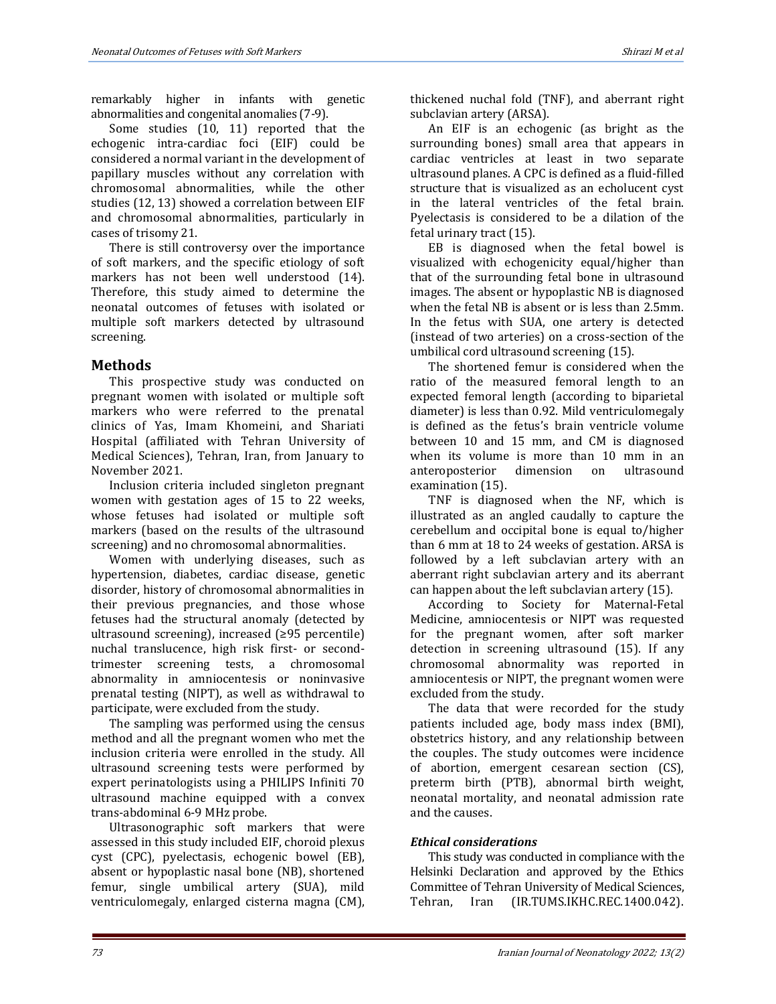remarkably higher in infants with genetic abnormalities and congenital anomalies (7-9).

Some studies (10, 11) reported that the echogenic intra-cardiac foci (EIF) could be considered a normal variant in the development of papillary muscles without any correlation with chromosomal abnormalities, while the other studies (12, 13) showed a correlation between EIF and chromosomal abnormalities, particularly in cases of trisomy 21.

There is still controversy over the importance of soft markers, and the specific etiology of soft markers has not been well understood (14). Therefore, this study aimed to determine the neonatal outcomes of fetuses with isolated or multiple soft markers detected by ultrasound screening.

# **Methods**

This prospective study was conducted on pregnant women with isolated or multiple soft markers who were referred to the prenatal clinics of Yas, Imam Khomeini, and Shariati Hospital (affiliated with Tehran University of Medical Sciences), Tehran, Iran, from January to November 2021.

Inclusion criteria included singleton pregnant women with gestation ages of 15 to 22 weeks, whose fetuses had isolated or multiple soft markers (based on the results of the ultrasound screening) and no chromosomal abnormalities.

Women with underlying diseases, such as hypertension, diabetes, cardiac disease, genetic disorder, history of chromosomal abnormalities in their previous pregnancies, and those whose fetuses had the structural anomaly (detected by ultrasound screening), increased (≥95 percentile) nuchal translucence, high risk first- or secondtrimester screening tests, a chromosomal abnormality in amniocentesis or noninvasive prenatal testing (NIPT), as well as withdrawal to participate, were excluded from the study.

The sampling was performed using the census method and all the pregnant women who met the inclusion criteria were enrolled in the study. All ultrasound screening tests were performed by expert perinatologists using a PHILIPS Infiniti 70 ultrasound machine equipped with a convex trans-abdominal 6-9 MHz probe.

Ultrasonographic soft markers that were assessed in this study included EIF, choroid plexus cyst (CPC), pyelectasis, echogenic bowel (EB), absent or hypoplastic nasal bone (NB), shortened femur, single umbilical artery (SUA), mild ventriculomegaly, enlarged cisterna magna (CM), thickened nuchal fold (TNF), and aberrant right subclavian artery (ARSA).

An EIF is an echogenic (as bright as the surrounding bones) small area that appears in cardiac ventricles at least in two separate ultrasound planes. A CPC is defined as a fluid-filled structure that is visualized as an echolucent cyst in the lateral ventricles of the fetal brain. Pyelectasis is considered to be a dilation of the fetal urinary tract (15).

EB is diagnosed when the fetal bowel is visualized with echogenicity equal/higher than that of the surrounding fetal bone in ultrasound images. The absent or hypoplastic NB is diagnosed when the fetal NB is absent or is less than 2.5mm. In the fetus with SUA, one artery is detected (instead of two arteries) on a cross-section of the umbilical cord ultrasound screening (15).

The shortened femur is considered when the ratio of the measured femoral length to an expected femoral length (according to biparietal diameter) is less than 0.92. Mild ventriculomegaly is defined as the fetus's brain ventricle volume between 10 and 15 mm, and CM is diagnosed when its volume is more than 10 mm in an anteroposterior dimension on ultrasound examination (15).

TNF is diagnosed when the NF, which is illustrated as an angled caudally to capture the cerebellum and occipital bone is equal to/higher than 6 mm at 18 to 24 weeks of gestation. ARSA is followed by a left subclavian artery with an aberrant right subclavian artery and its aberrant can happen about the left subclavian artery (15).

According to Society for Maternal-Fetal Medicine, amniocentesis or NIPT was requested for the pregnant women, after soft marker detection in screening ultrasound (15). If any chromosomal abnormality was reported in amniocentesis or NIPT, the pregnant women were excluded from the study.

The data that were recorded for the study patients included age, body mass index (BMI), obstetrics history, and any relationship between the couples. The study outcomes were incidence of abortion, emergent cesarean section (CS), preterm birth (PTB), abnormal birth weight, neonatal mortality, and neonatal admission rate and the causes.

### *Ethical considerations*

This study was conducted in compliance with the Helsinki Declaration and approved by the Ethics Committee of Tehran University of Medical Sciences, Tehran, Iran (IR.TUMS.IKHC.REC.1400.042).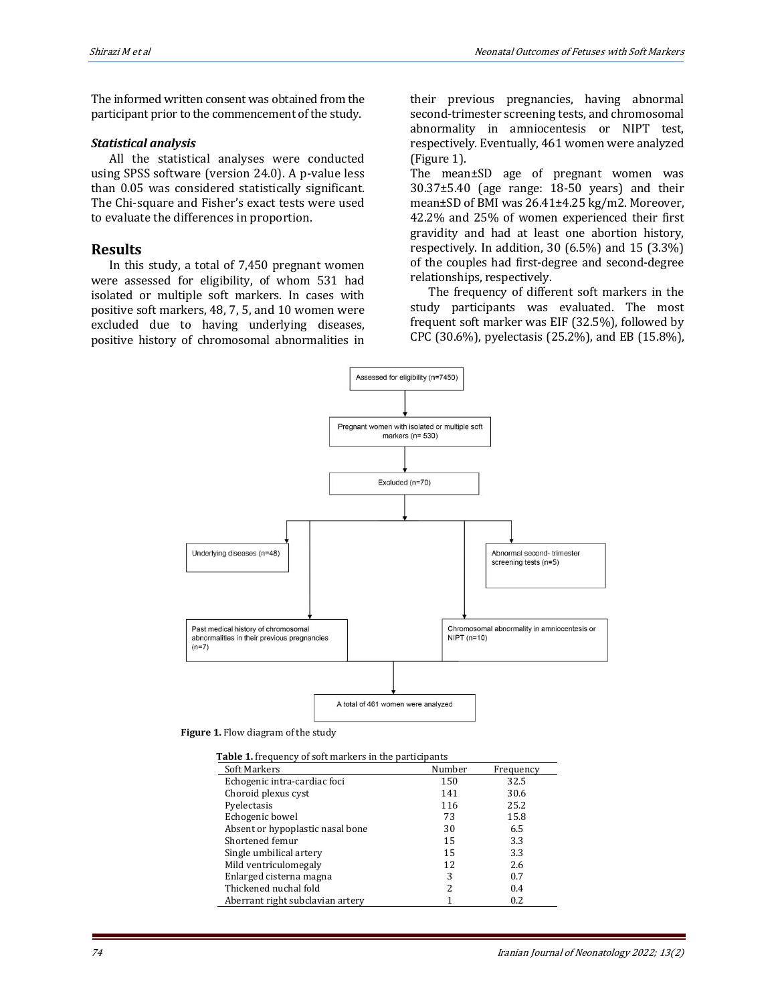The informed written consent was obtained from the participant prior to the commencement of the study.

#### *Statistical analysis*

All the statistical analyses were conducted using SPSS software (version 24.0). A p-value less than 0.05 was considered statistically significant. The Chi-square and Fisher's exact tests were used to evaluate the differences in proportion.

### **Results**

In this study, a total of 7,450 pregnant women were assessed for eligibility, of whom 531 had isolated or multiple soft markers. In cases with positive soft markers, 48, 7, 5, and 10 women were excluded due to having underlying diseases, positive history of chromosomal abnormalities in their previous pregnancies, having abnormal second-trimester screening tests, and chromosomal abnormality in amniocentesis or NIPT test, respectively. Eventually, 461 women were analyzed (Figure 1).

The mean±SD age of pregnant women was 30.37±5.40 (age range: 18-50 years) and their mean±SD of BMI was 26.41±4.25 kg/m2. Moreover, 42.2% and 25% of women experienced their first gravidity and had at least one abortion history, respectively. In addition, 30 (6.5%) and 15 (3.3%) of the couples had first-degree and second-degree relationships, respectively.

The frequency of different soft markers in the study participants was evaluated. The most frequent soft marker was EIF (32.5%), followed by CPC (30.6%), pyelectasis (25.2%), and EB (15.8%),



 **Figure 1.** Flow diagram of the study

| <b>Table 1.</b> frequency of soft markers in the participants |        |           |
|---------------------------------------------------------------|--------|-----------|
| Soft Markers                                                  | Number | Frequency |
| Echogenic intra-cardiac foci                                  | 150    | 32.5      |
| Choroid plexus cyst                                           | 141    | 30.6      |
| Pyelectasis                                                   | 116    | 25.2      |
| Echogenic bowel                                               | 73     | 15.8      |
| Absent or hypoplastic nasal bone                              | 30     | 6.5       |
| Shortened femur                                               | 15     | 3.3       |
| Single umbilical artery                                       | 15     | 3.3       |
| Mild ventriculomegaly                                         | 12     | 2.6       |
| Enlarged cisterna magna                                       | 3      | 0.7       |
| Thickened nuchal fold                                         | າ      | 0.4       |
| Aberrant right subclavian artery                              |        | 0.2       |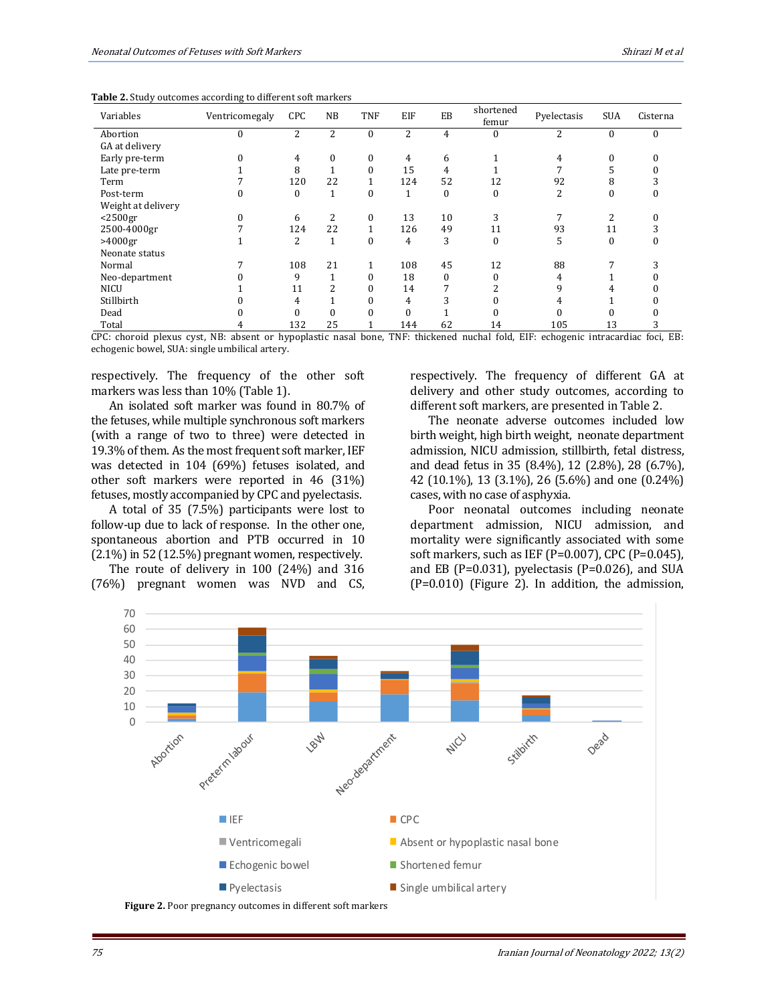| Variables          | Ventricomegaly | <b>CPC</b>   | <b>NB</b>    | TNF              | EIF      | EB               | shortened<br>femur | Pyelectasis | <b>SUA</b>   | Cisterna |
|--------------------|----------------|--------------|--------------|------------------|----------|------------------|--------------------|-------------|--------------|----------|
| Abortion           | $\theta$       | 2            | 2            | $\boldsymbol{0}$ | 2        | 4                | 0                  | 2           | $\mathbf{0}$ | $\bf{0}$ |
| GA at delivery     |                |              |              |                  |          |                  |                    |             |              |          |
| Early pre-term     | $\theta$       | 4            | 0            | $\bf{0}$         | 4        | 6                |                    | 4           | $\mathbf{0}$ |          |
| Late pre-term      |                | 8            |              | $\theta$         | 15       | 4                |                    |             |              |          |
| Term               |                | 120          | 22           |                  | 124      | 52               | 12                 | 92          | 8            |          |
| Post-term          |                | $\mathbf{0}$ | $\mathbf{1}$ | $\mathbf{0}$     | 1        | $\boldsymbol{0}$ | $\bf{0}$           | 2           | $\mathbf{0}$ |          |
| Weight at delivery |                |              |              |                  |          |                  |                    |             |              |          |
| $<$ 2500gr         | $\Omega$       | 6            | 2            | $\mathbf{0}$     | 13       | 10               | 3                  |             | 2            |          |
| 2500-4000gr        |                | 124          | 22           | $\mathbf{1}$     | 126      | 49               | 11                 | 93          | 11           |          |
| $>4000$ gr         |                | 2            | $\mathbf{1}$ | $\Omega$         | 4        | 3                | $\bf{0}$           | 5           | $\Omega$     |          |
| Neonate status     |                |              |              |                  |          |                  |                    |             |              |          |
| Normal             |                | 108          | 21           | 1                | 108      | 45               | 12                 | 88          |              |          |
| Neo-department     |                | 9            | 1            | $\Omega$         | 18       | $\Omega$         | 0                  | 4           |              |          |
| <b>NICU</b>        |                | 11           | 2            | $\Omega$         | 14       | 7                | ົ                  | 9           | 4            |          |
| Stillbirth         |                | 4            |              |                  | 4        | 3                |                    | 4           |              |          |
| Dead               |                | 0            | 0            |                  | $\Omega$ |                  |                    |             |              |          |
| Total              |                | 132          | 25           |                  | 144      | 62               | 14                 | 105         | 13           |          |

**Table 2.** Study outcomes according to different soft markers

CPC: choroid plexus cyst, NB: absent or hypoplastic nasal bone, TNF: thickened nuchal fold, EIF: echogenic intracardiac foci, EB: echogenic bowel, SUA: single umbilical artery.

respectively. The frequency of the other soft markers was less than 10% (Table 1).

An isolated soft marker was found in 80.7% of the fetuses, while multiple synchronous soft markers (with a range of two to three) were detected in 19.3% of them. As the most frequent soft marker, IEF was detected in 104 (69%) fetuses isolated, and other soft markers were reported in 46 (31%) fetuses, mostly accompanied by CPC and pyelectasis.

A total of 35 (7.5%) participants were lost to follow-up due to lack of response. In the other one, spontaneous abortion and PTB occurred in 10 (2.1%) in 52 (12.5%) pregnant women, respectively.

The route of delivery in 100 (24%) and 316 (76%) pregnant women was NVD and CS, respectively. The frequency of different GA at delivery and other study outcomes, according to different soft markers, are presented in Table 2.

The neonate adverse outcomes included low birth weight, high birth weight, neonate department admission, NICU admission, stillbirth, fetal distress, and dead fetus in 35 (8.4%), 12 (2.8%), 28 (6.7%), 42 (10.1%), 13 (3.1%), 26 (5.6%) and one (0.24%) cases, with no case of asphyxia.

Poor neonatal outcomes including neonate department admission, NICU admission, and mortality were significantly associated with some soft markers, such as IEF (P=0.007), CPC (P=0.045), and EB (P=0.031), pyelectasis (P=0.026), and SUA (P=0.010) (Figure 2). In addition, the admission,

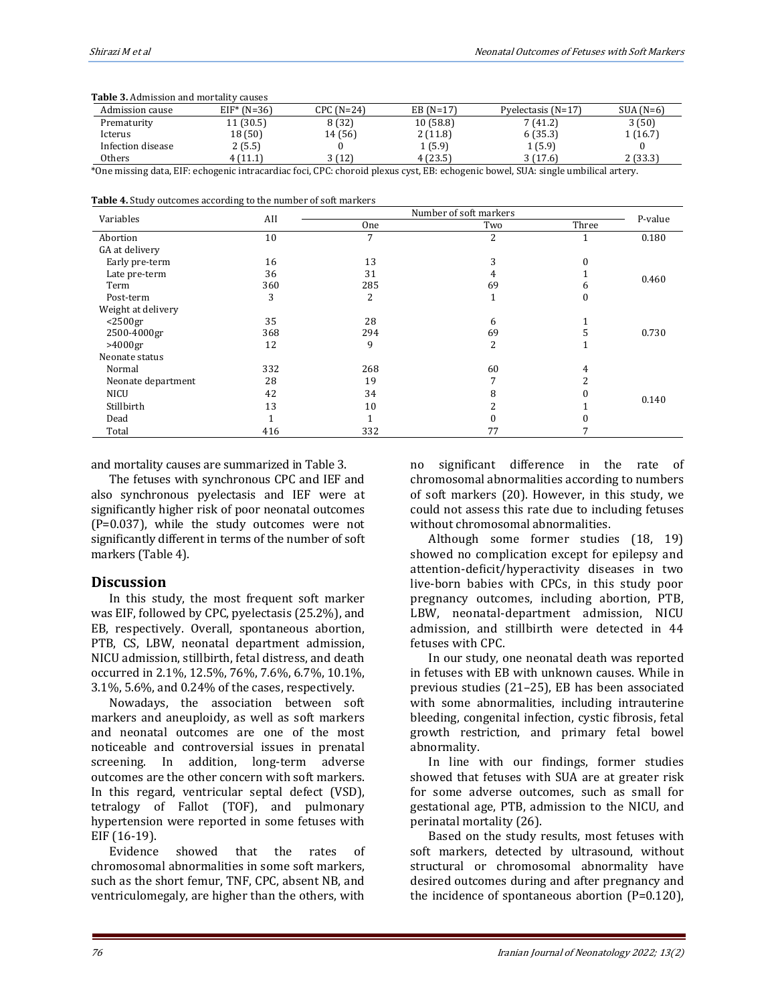| <b>Table 3.</b> Admission and mortality causes                                                                                    |                |             |             |                      |             |  |  |
|-----------------------------------------------------------------------------------------------------------------------------------|----------------|-------------|-------------|----------------------|-------------|--|--|
| Admission cause                                                                                                                   | $EIF^*$ (N=36) | $CPC(N=24)$ | EB $(N=17)$ | Pyelectasis $(N=17)$ | $SUA (N=6)$ |  |  |
| Prematurity                                                                                                                       | 11(30.5)       | 8 (32)      | 10(58.8)    | 7 (41.2)             | 3(50)       |  |  |
| Icterus                                                                                                                           | 18 (50)        | 14 (56)     | 2(11.8)     | 6(35.3)              | 1(16.7)     |  |  |
| Infection disease                                                                                                                 | 2(5.5)         |             | 1(5.9)      | 1(5.9)               |             |  |  |
| Others                                                                                                                            | 4 (11.1)       | 3(12)       | 4(23.5)     | 3(17.6)              | 2(33.3)     |  |  |
| *One missing data, EIF: echogenic intracardiac foci, CPC: choroid plexus cyst, EB: echogenic bowel, SUA: single umbilical artery. |                |             |             |                      |             |  |  |

**Table 3.** Admission and mortality causes

**Table 4.** Study outcomes according to the number of soft markers

| Variables          |     | Number of soft markers |     |          |         |
|--------------------|-----|------------------------|-----|----------|---------|
|                    | AII | One                    | Two | Three    | P-value |
| Abortion           | 10  | 7                      | 2   | 1        | 0.180   |
| GA at delivery     |     |                        |     |          |         |
| Early pre-term     | 16  | 13                     | 3   |          |         |
| Late pre-term      | 36  | 31                     | 4   |          | 0.460   |
| Term               | 360 | 285                    | 69  | h        |         |
| Post-term          | 3   | 2                      |     | $\bf{0}$ |         |
| Weight at delivery |     |                        |     |          |         |
| $<$ 2500gr         | 35  | 28                     | 6   |          |         |
| 2500-4000gr        | 368 | 294                    | 69  |          | 0.730   |
| $>4000$ gr         | 12  | 9                      | 2   |          |         |
| Neonate status     |     |                        |     |          |         |
| Normal             | 332 | 268                    | 60  | 4        |         |
| Neonate department | 28  | 19                     |     |          |         |
| <b>NICU</b>        | 42  | 34                     | 8   |          |         |
| Stillbirth         | 13  | 10                     |     |          | 0.140   |
| Dead               |     |                        |     |          |         |
| Total              | 416 | 332                    | 77  |          |         |

and mortality causes are summarized in Table 3.

The fetuses with synchronous CPC and IEF and also synchronous pyelectasis and IEF were at significantly higher risk of poor neonatal outcomes (P=0.037), while the study outcomes were not significantly different in terms of the number of soft markers (Table 4).

### **Discussion**

In this study, the most frequent soft marker was EIF, followed by CPC, pyelectasis (25.2%), and EB, respectively. Overall, spontaneous abortion, PTB, CS, LBW, neonatal department admission, NICU admission, stillbirth, fetal distress, and death occurred in 2.1%, 12.5%, 76%, 7.6%, 6.7%, 10.1%, 3.1%, 5.6%, and 0.24% of the cases, respectively.

Nowadays, the association between soft markers and aneuploidy, as well as soft markers and neonatal outcomes are one of the most noticeable and controversial issues in prenatal screening. In addition, long-term adverse outcomes are the other concern with soft markers. In this regard, ventricular septal defect (VSD), tetralogy of Fallot (TOF), and pulmonary hypertension were reported in some fetuses with EIF (16-19).

Evidence showed that the rates of chromosomal abnormalities in some soft markers, such as the short femur, TNF, CPC, absent NB, and ventriculomegaly, are higher than the others, with

no significant difference in the rate of chromosomal abnormalities according to numbers of soft markers (20). However, in this study, we could not assess this rate due to including fetuses without chromosomal abnormalities.

Although some former studies (18, 19) showed no complication except for epilepsy and attention-deficit/hyperactivity diseases in two live-born babies with CPCs, in this study poor pregnancy outcomes, including abortion, PTB, LBW, neonatal-department admission, NICU admission, and stillbirth were detected in 44 fetuses with CPC.

In our study, one neonatal death was reported in fetuses with EB with unknown causes. While in previous studies (21–25), EB has been associated with some abnormalities, including intrauterine bleeding, congenital infection, cystic fibrosis, fetal growth restriction, and primary fetal bowel abnormality.

In line with our findings, former studies showed that fetuses with SUA are at greater risk for some adverse outcomes, such as small for gestational age, PTB, admission to the NICU, and perinatal mortality (26).

Based on the study results, most fetuses with soft markers, detected by ultrasound, without structural or chromosomal abnormality have desired outcomes during and after pregnancy and the incidence of spontaneous abortion (P=0.120),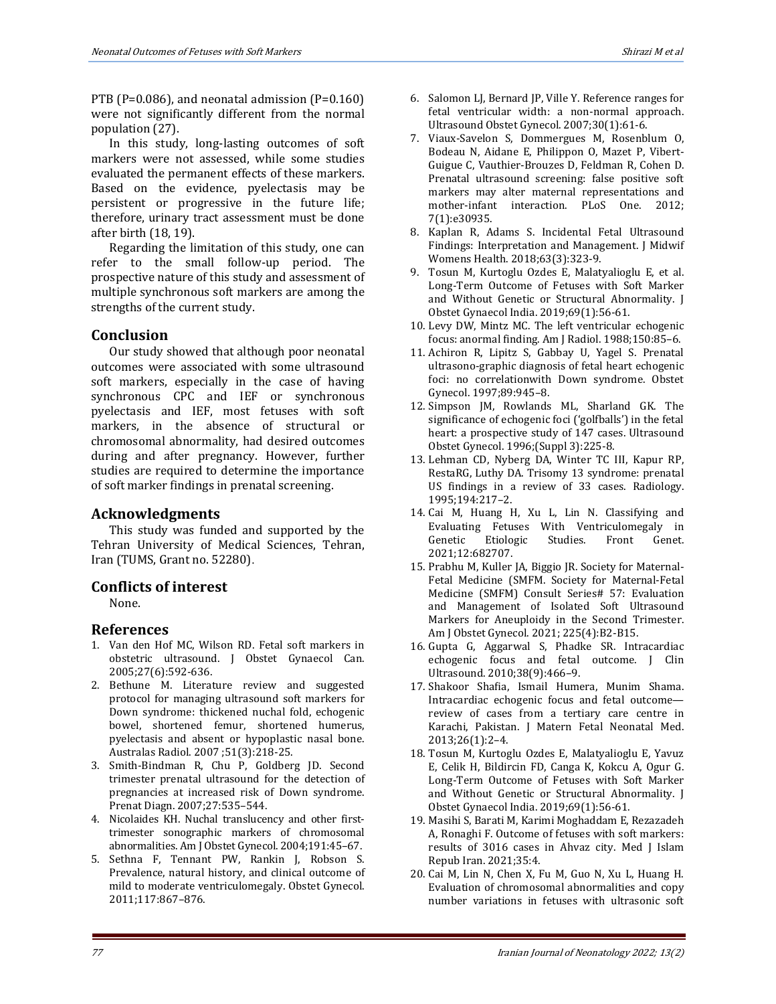PTB (P=0.086), and neonatal admission (P=0.160) were not significantly different from the normal population (27).

In this study, long-lasting outcomes of soft markers were not assessed, while some studies evaluated the permanent effects of these markers. Based on the evidence, pyelectasis may be persistent or progressive in the future life; therefore, urinary tract assessment must be done after birth (18, 19).

Regarding the limitation of this study, one can refer to the small follow-up period. The prospective nature of this study and assessment of multiple synchronous soft markers are among the strengths of the current study.

# **Conclusion**

Our study showed that although poor neonatal outcomes were associated with some ultrasound soft markers, especially in the case of having synchronous CPC and IEF or synchronous pyelectasis and IEF, most fetuses with soft markers, in the absence of structural or chromosomal abnormality, had desired outcomes during and after pregnancy. However, further studies are required to determine the importance of soft marker findings in prenatal screening.

# **Acknowledgments**

This study was funded and supported by the Tehran University of Medical Sciences, Tehran, Iran (TUMS, Grant no. 52280).

### **Conflicts of interest**

None.

### **References**

- 1. Van den Hof MC, Wilson RD. Fetal soft markers in obstetric ultrasound. J Obstet Gynaecol Can. 2005;27(6):592-636.
- 2. Bethune M. Literature review and suggested protocol for managing ultrasound soft markers for Down syndrome: thickened nuchal fold, echogenic bowel, shortened femur, shortened humerus, pyelectasis and absent or hypoplastic nasal bone. Australas Radiol. 2007 ;51(3):218-25.
- 3. Smith-Bindman R, Chu P, Goldberg JD. Second trimester prenatal ultrasound for the detection of pregnancies at increased risk of Down syndrome. Prenat Diagn. 2007;27:535–544.
- 4. Nicolaides KH. Nuchal translucency and other firsttrimester sonographic markers of chromosomal abnormalities. Am J Obstet Gynecol. 2004;191:45–67.
- 5. Sethna F, Tennant PW, Rankin J, Robson S. Prevalence, natural history, and clinical outcome of mild to moderate ventriculomegaly. Obstet Gynecol. 2011;117:867–876.
- 6. Salomon LJ, Bernard JP, Ville Y. Reference ranges for fetal ventricular width: a non-normal approach. Ultrasound Obstet Gynecol. 2007;30(1):61-6.
- 7. Viaux-Savelon S, Dommergues M, Rosenblum O, Bodeau N, Aidane E, Philippon O, Mazet P, Vibert-Guigue C, Vauthier-Brouzes D, Feldman R, Cohen D. Prenatal ultrasound screening: false positive soft markers may alter maternal representations and mother-infant interaction. PLoS One. 2012; 7(1):e30935.
- 8. Kaplan R, Adams S. Incidental Fetal Ultrasound Findings: Interpretation and Management. J Midwif Womens Health. 2018;63(3):323-9.
- 9. Tosun M, Kurtoglu Ozdes E, Malatyalioglu E, et al. Long-Term Outcome of Fetuses with Soft Marker and Without Genetic or Structural Abnormality. J Obstet Gynaecol India. 2019;69(1):56-61.
- 10. Levy DW, Mintz MC. The left ventricular echogenic focus: anormal finding. Am J Radiol. 1988;150:85–6.
- 11. Achiron R, Lipitz S, Gabbay U, Yagel S. Prenatal ultrasono-graphic diagnosis of fetal heart echogenic foci: no correlationwith Down syndrome. Obstet Gynecol. 1997;89:945–8.
- 12. Simpson JM, Rowlands ML, Sharland GK. The significance of echogenic foci ('golfballs') in the fetal heart: a prospective study of 147 cases. Ultrasound Obstet Gynecol. 1996;(Suppl 3):225-8.
- 13. Lehman CD, Nyberg DA, Winter TC III, Kapur RP, RestaRG, Luthy DA. Trisomy 13 syndrome: prenatal US findings in a review of 33 cases. Radiology. 1995;194:217–2.
- 14. Cai M, Huang H, Xu L, Lin N. Classifying and Evaluating Fetuses With Ventriculomegaly in Genetic Etiologic Studies. Front Genet. 2021;12:682707.
- 15. Prabhu M, Kuller JA, Biggio JR. Society for Maternal-Fetal Medicine (SMFM. Society for Maternal-Fetal Medicine (SMFM) Consult Series# 57: Evaluation and Management of Isolated Soft Ultrasound Markers for Aneuploidy in the Second Trimester. Am J Obstet Gynecol. 2021; 225(4):B2-B15.
- 16. Gupta G, Aggarwal S, Phadke SR. Intracardiac echogenic focus and fetal outcome. J Clin Ultrasound. 2010;38(9):466–9.
- 17. Shakoor Shafia, Ismail Humera, Munim Shama. Intracardiac echogenic focus and fetal outcome review of cases from a tertiary care centre in Karachi, Pakistan. J Matern Fetal Neonatal Med. 2013;26(1):2–4.
- 18. Tosun M, Kurtoglu Ozdes E, Malatyalioglu E, Yavuz E, Celik H, Bildircin FD, Canga K, Kokcu A, Ogur G. Long-Term Outcome of Fetuses with Soft Marker and Without Genetic or Structural Abnormality. J Obstet Gynaecol India. 2019;69(1):56-61.
- 19. Masihi S, Barati M, Karimi Moghaddam E, Rezazadeh A, Ronaghi F. Outcome of fetuses with soft markers: results of 3016 cases in Ahvaz city. Med J Islam Repub Iran. 2021;35:4.
- 20. Cai M, Lin N, Chen X, Fu M, Guo N, Xu L, Huang H. Evaluation of chromosomal abnormalities and copy number variations in fetuses with ultrasonic soft